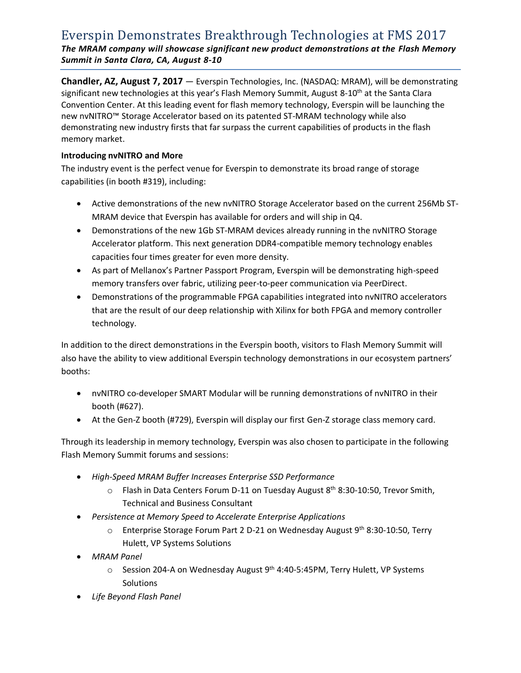# Everspin Demonstrates Breakthrough Technologies at FMS 2017 *The MRAM company will showcase significant new product demonstrations at the Flash Memory Summit in Santa Clara, CA, August 8-10*

**Chandler, AZ, August 7, 2017** — Everspin Technologies, Inc. (NASDAQ: MRAM), will be demonstrating significant new technologies at this year's Flash Memory Summit, August 8-10<sup>th</sup> at the Santa Clara Convention Center. At this leading event for flash memory technology, Everspin will be launching the new nvNITRO™ Storage Accelerator based on its patented ST-MRAM technology while also demonstrating new industry firsts that far surpass the current capabilities of products in the flash memory market.

## **Introducing nvNITRO and More**

The industry event is the perfect venue for Everspin to demonstrate its broad range of storage capabilities (in booth #319), including:

- Active demonstrations of the new nvNITRO Storage Accelerator based on the current 256Mb ST-MRAM device that Everspin has available for orders and will ship in Q4.
- Demonstrations of the new 1Gb ST-MRAM devices already running in the nvNITRO Storage Accelerator platform. This next generation DDR4-compatible memory technology enables capacities four times greater for even more density.
- As part of Mellanox's Partner Passport Program, Everspin will be demonstrating high-speed memory transfers over fabric, utilizing peer-to-peer communication via PeerDirect.
- Demonstrations of the programmable FPGA capabilities integrated into nvNITRO accelerators that are the result of our deep relationship with Xilinx for both FPGA and memory controller technology.

In addition to the direct demonstrations in the Everspin booth, visitors to Flash Memory Summit will also have the ability to view additional Everspin technology demonstrations in our ecosystem partners' booths:

- nvNITRO co-developer SMART Modular will be running demonstrations of nvNITRO in their booth (#627).
- At the Gen-Z booth (#729), Everspin will display our first Gen-Z storage class memory card.

Through its leadership in memory technology, Everspin was also chosen to participate in the following Flash Memory Summit forums and sessions:

- *High-Speed MRAM Buffer Increases Enterprise SSD Performance*
	- o Flash in Data Centers Forum D-11 on Tuesday August 8<sup>th</sup> 8:30-10:50, Trevor Smith, Technical and Business Consultant
- *Persistence at Memory Speed to Accelerate Enterprise Applications*
	- o Enterprise Storage Forum Part 2 D-21 on Wednesday August 9th 8:30-10:50, Terry Hulett, VP Systems Solutions
- *MRAM Panel*
	- o Session 204-A on Wednesday August 9<sup>th</sup> 4:40-5:45PM, Terry Hulett, VP Systems **Solutions**
- *Life Beyond Flash Panel*